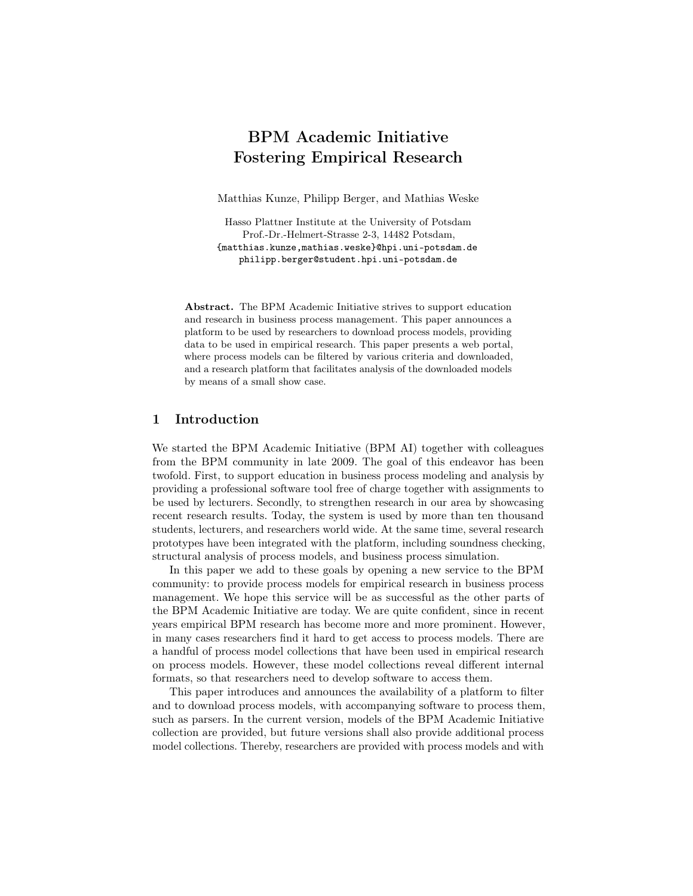# BPM Academic Initiative Fostering Empirical Research

Matthias Kunze, Philipp Berger, and Mathias Weske

Hasso Plattner Institute at the University of Potsdam Prof.-Dr.-Helmert-Strasse 2-3, 14482 Potsdam, {matthias.kunze,mathias.weske}@hpi.uni-potsdam.de philipp.berger@student.hpi.uni-potsdam.de

Abstract. The BPM Academic Initiative strives to support education and research in business process management. This paper announces a platform to be used by researchers to download process models, providing data to be used in empirical research. This paper presents a web portal, where process models can be filtered by various criteria and downloaded, and a research platform that facilitates analysis of the downloaded models by means of a small show case.

### 1 Introduction

We started the BPM Academic Initiative (BPM AI) together with colleagues from the BPM community in late 2009. The goal of this endeavor has been twofold. First, to support education in business process modeling and analysis by providing a professional software tool free of charge together with assignments to be used by lecturers. Secondly, to strengthen research in our area by showcasing recent research results. Today, the system is used by more than ten thousand students, lecturers, and researchers world wide. At the same time, several research prototypes have been integrated with the platform, including soundness checking, structural analysis of process models, and business process simulation.

In this paper we add to these goals by opening a new service to the BPM community: to provide process models for empirical research in business process management. We hope this service will be as successful as the other parts of the BPM Academic Initiative are today. We are quite confident, since in recent years empirical BPM research has become more and more prominent. However, in many cases researchers find it hard to get access to process models. There are a handful of process model collections that have been used in empirical research on process models. However, these model collections reveal different internal formats, so that researchers need to develop software to access them.

This paper introduces and announces the availability of a platform to filter and to download process models, with accompanying software to process them, such as parsers. In the current version, models of the BPM Academic Initiative collection are provided, but future versions shall also provide additional process model collections. Thereby, researchers are provided with process models and with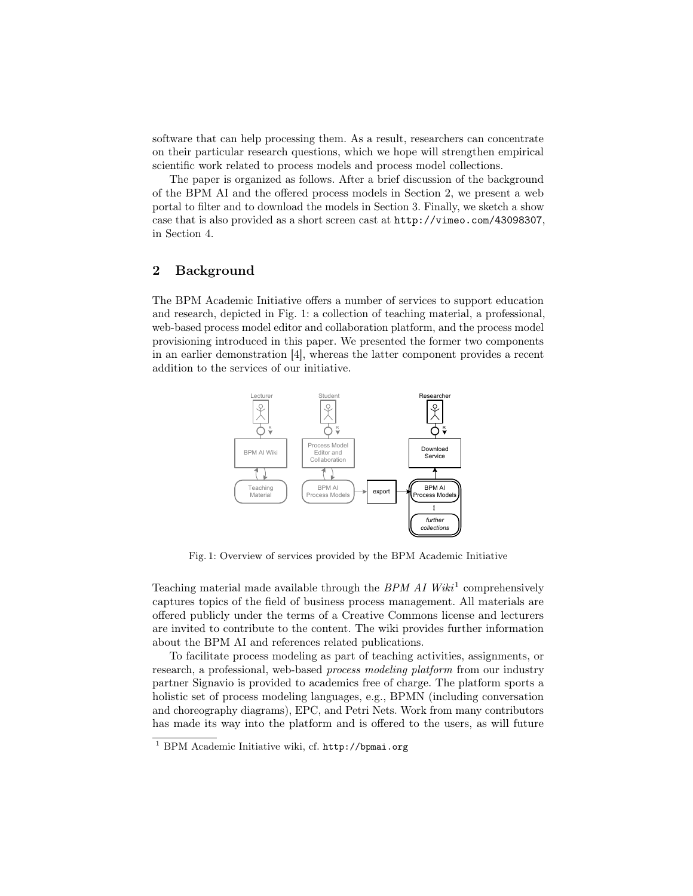software that can help processing them. As a result, researchers can concentrate on their particular research questions, which we hope will strengthen empirical scientific work related to process models and process model collections.

The paper is organized as follows. After a brief discussion of the background of the BPM AI and the offered process models in Section 2, we present a web portal to filter and to download the models in Section 3. Finally, we sketch a show case that is also provided as a short screen cast at http://vimeo.com/43098307, in Section 4.

# 2 Background

The BPM Academic Initiative offers a number of services to support education and research, depicted in Fig. 1: a collection of teaching material, a professional, web-based process model editor and collaboration platform, and the process model provisioning introduced in this paper. We presented the former two components in an earlier demonstration [4], whereas the latter component provides a recent addition to the services of our initiative.



Fig. 1: Overview of services provided by the BPM Academic Initiative

Teaching material made available through the  $BPM$   $AI$   $Wiki<sup>1</sup>$  comprehensively captures topics of the field of business process management. All materials are offered publicly under the terms of a Creative Commons license and lecturers are invited to contribute to the content. The wiki provides further information about the BPM AI and references related publications.

To facilitate process modeling as part of teaching activities, assignments, or research, a professional, web-based process modeling platform from our industry partner Signavio is provided to academics free of charge. The platform sports a holistic set of process modeling languages, e.g., BPMN (including conversation and choreography diagrams), EPC, and Petri Nets. Work from many contributors has made its way into the platform and is offered to the users, as will future

<sup>1</sup> BPM Academic Initiative wiki, cf. http://bpmai.org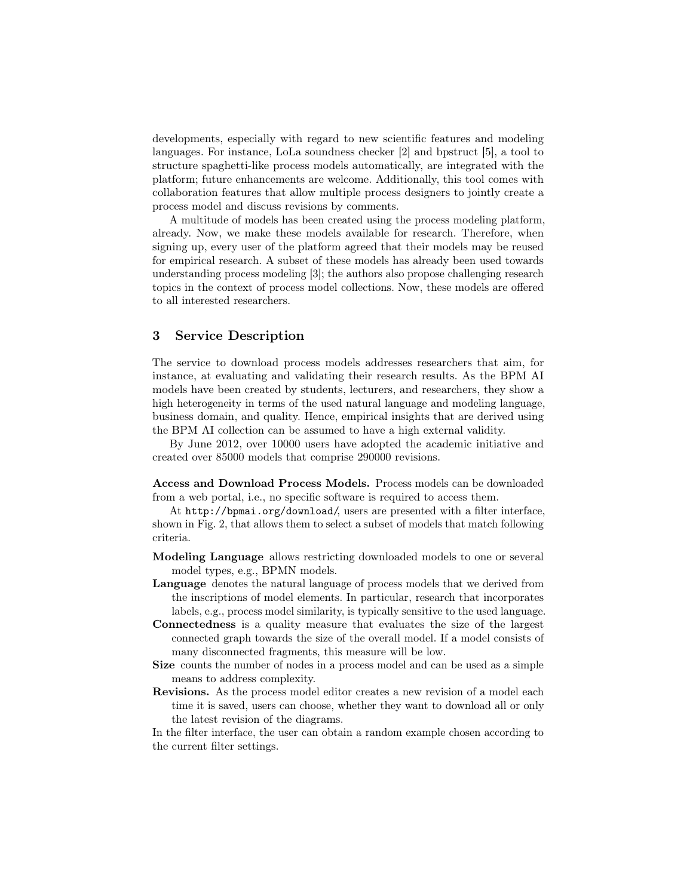developments, especially with regard to new scientific features and modeling languages. For instance, LoLa soundness checker [2] and bpstruct [5], a tool to structure spaghetti-like process models automatically, are integrated with the platform; future enhancements are welcome. Additionally, this tool comes with collaboration features that allow multiple process designers to jointly create a process model and discuss revisions by comments.

A multitude of models has been created using the process modeling platform, already. Now, we make these models available for research. Therefore, when signing up, every user of the platform agreed that their models may be reused for empirical research. A subset of these models has already been used towards understanding process modeling [3]; the authors also propose challenging research topics in the context of process model collections. Now, these models are offered to all interested researchers.

# 3 Service Description

The service to download process models addresses researchers that aim, for instance, at evaluating and validating their research results. As the BPM AI models have been created by students, lecturers, and researchers, they show a high heterogeneity in terms of the used natural language and modeling language, business domain, and quality. Hence, empirical insights that are derived using the BPM AI collection can be assumed to have a high external validity.

By June 2012, over 10000 users have adopted the academic initiative and created over 85000 models that comprise 290000 revisions.

Access and Download Process Models. Process models can be downloaded from a web portal, i.e., no specific software is required to access them.

At http://bpmai.org/download/, users are presented with a filter interface, shown in Fig. 2, that allows them to select a subset of models that match following criteria.

- Modeling Language allows restricting downloaded models to one or several model types, e.g., BPMN models.
- Language denotes the natural language of process models that we derived from the inscriptions of model elements. In particular, research that incorporates labels, e.g., process model similarity, is typically sensitive to the used language.
- Connectedness is a quality measure that evaluates the size of the largest connected graph towards the size of the overall model. If a model consists of many disconnected fragments, this measure will be low.
- Size counts the number of nodes in a process model and can be used as a simple means to address complexity.
- Revisions. As the process model editor creates a new revision of a model each time it is saved, users can choose, whether they want to download all or only the latest revision of the diagrams.

In the filter interface, the user can obtain a random example chosen according to the current filter settings.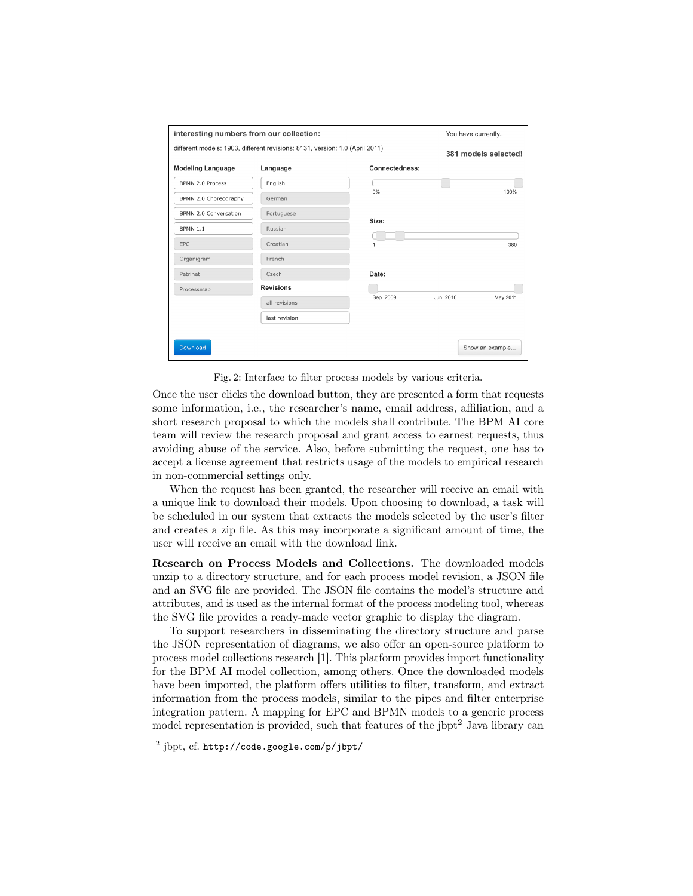| interesting numbers from our collection:                                     |                  | You have currently |                      |                 |
|------------------------------------------------------------------------------|------------------|--------------------|----------------------|-----------------|
| different models: 1903, different revisions: 8131, version: 1.0 (April 2011) |                  |                    | 381 models selected! |                 |
| <b>Modeling Language</b>                                                     | Language         | Connectedness:     |                      |                 |
| BPMN 2.0 Process                                                             | English          |                    |                      |                 |
| BPMN 2.0 Choreography                                                        | German           | $0\%$              |                      | 100%            |
| BPMN 2.0 Conversation                                                        | Portuguese       |                    |                      |                 |
| <b>BPMN 1.1</b>                                                              | Russian          | Size:              |                      |                 |
| EPC                                                                          | Croatian         | 1                  |                      | 380             |
| Organigram                                                                   | French           |                    |                      |                 |
| Petrinet                                                                     | Czech            | Date:              |                      |                 |
| Processmap                                                                   | <b>Revisions</b> |                    |                      |                 |
|                                                                              | all revisions    | Sep. 2009          | Jun. 2010            | May 2011        |
|                                                                              | last revision    |                    |                      |                 |
|                                                                              |                  |                    |                      |                 |
| Download                                                                     |                  |                    |                      | Show an example |

Fig. 2: Interface to filter process models by various criteria.

Once the user clicks the download button, they are presented a form that requests some information, i.e., the researcher's name, email address, affiliation, and a short research proposal to which the models shall contribute. The BPM AI core team will review the research proposal and grant access to earnest requests, thus avoiding abuse of the service. Also, before submitting the request, one has to accept a license agreement that restricts usage of the models to empirical research in non-commercial settings only.

When the request has been granted, the researcher will receive an email with a unique link to download their models. Upon choosing to download, a task will be scheduled in our system that extracts the models selected by the user's filter and creates a zip file. As this may incorporate a significant amount of time, the user will receive an email with the download link.

Research on Process Models and Collections. The downloaded models unzip to a directory structure, and for each process model revision, a JSON file and an SVG file are provided. The JSON file contains the model's structure and attributes, and is used as the internal format of the process modeling tool, whereas the SVG file provides a ready-made vector graphic to display the diagram.

To support researchers in disseminating the directory structure and parse the JSON representation of diagrams, we also offer an open-source platform to process model collections research [1]. This platform provides import functionality for the BPM AI model collection, among others. Once the downloaded models have been imported, the platform offers utilities to filter, transform, and extract information from the process models, similar to the pipes and filter enterprise integration pattern. A mapping for EPC and BPMN models to a generic process model representation is provided, such that features of the  *Java library can* 

 $^2$  j $\text{bpt, cf. http://code.google.com/p/jbpt/}$